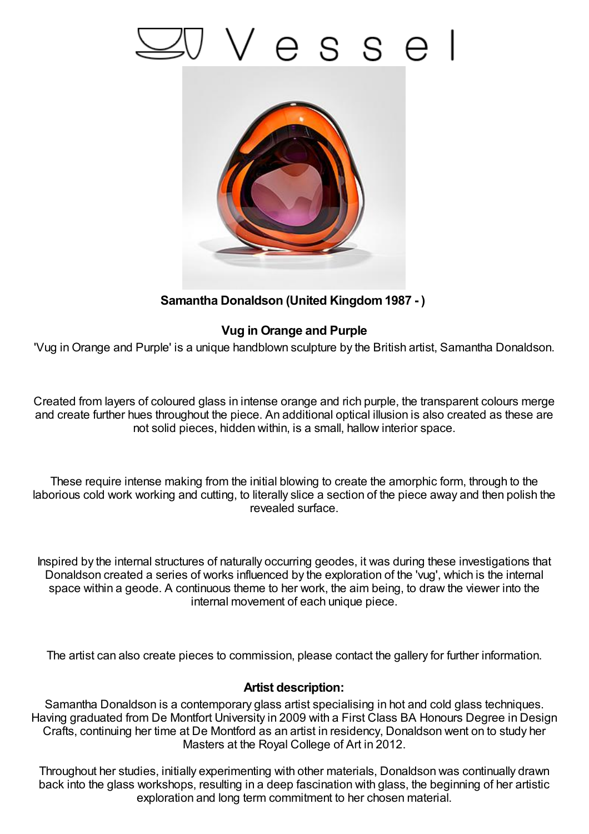# esse



## **Samantha Donaldson (United Kingdom1987 - )**

## **Vug in Orange and Purple**

'Vug in Orange and Purple' is a unique handblown sculpture by the British artist, Samantha Donaldson.

Created from layers of coloured glass in intense orange and rich purple, the transparent colours merge and create further hues throughout the piece. An additional optical illusion is also created as these are not solid pieces, hidden within, is a small, hallow interior space.

These require intense making from the initial blowing to create the amorphic form, through to the laborious cold work working and cutting, to literally slice a section of the piece away and then polish the revealed surface.

Inspired by the internal structures of naturally occurring geodes, it was during these investigations that Donaldson created a series of works influenced by the exploration of the 'vug', which is the internal space within a geode. A continuous theme to her work, the aim being, to draw the viewer into the internal movement of each unique piece.

The artist can also create pieces to commission, please contact the gallery for further information.

### **Artist description:**

Samantha Donaldson is a contemporary glass artist specialising in hot and cold glass techniques. Having graduated from De Montfort University in 2009 with a First Class BA Honours Degree in Design Crafts, continuing her time at De Montford as an artist in residency, Donaldson went on to study her Masters at the Royal College of Art in 2012.

Throughout her studies, initially experimenting with other materials, Donaldson was continually drawn back into the glass workshops, resulting in a deep fascination with glass, the beginning of her artistic exploration and long term commitment to her chosen material.